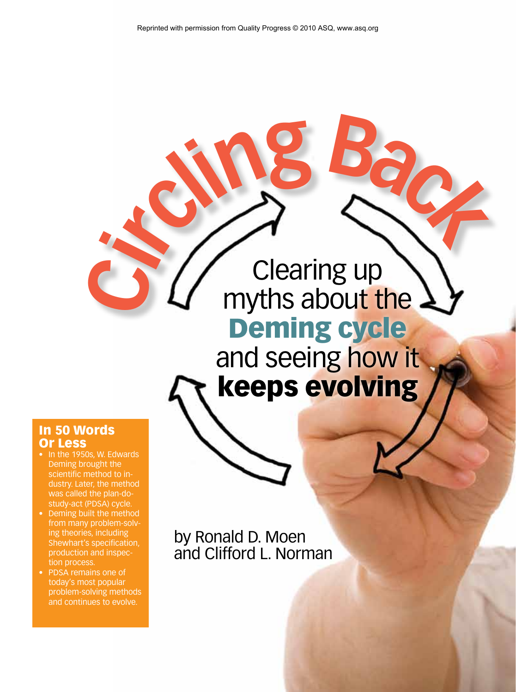# Clearing up myths about the Deming cycle  $\frac{1}{2}$   $\frac{1}{2}$   $\frac{1}{2}$   $\frac{1}{2}$   $\frac{1}{2}$   $\frac{1}{2}$   $\frac{1}{2}$   $\frac{1}{2}$

and seeing how it keeps evolving

# In 50 Words Or Less

- In the 1950s, W. Edwards Deming brought the scientific method to industry. Later, the method was called the plan-dostudy-act (PDSA) cycle.
- Deming built the method from many problem-solving theories, including Shewhart's specification, production and inspection process.
- PDSA remains one of today's most popular problem-solving methods and continues to evolve.

by Ronald D. Moen and Clifford L. Norman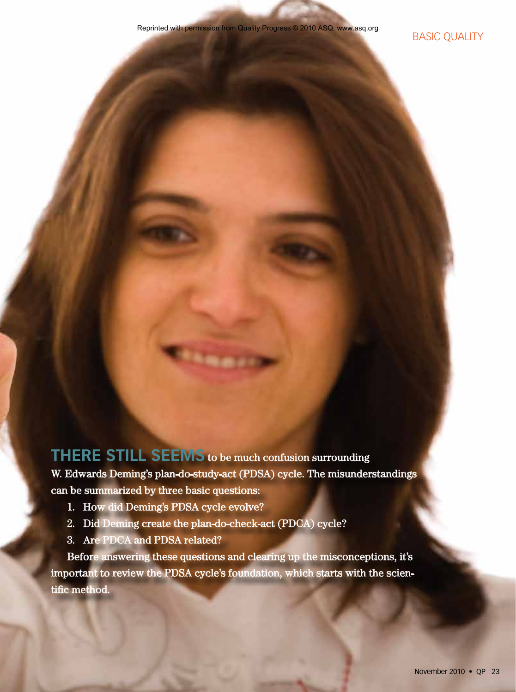**THERE STILL SEEMS** to be much confusion surrounding W. Edwards Deming's plan-do-study-act (PDSA) cycle. The misunderstandings can be summarized by three basic questions:

- 1. How did Deming's PDSA cycle evolve?
- 2. Did Deming create the plan-do-check-act (PDCA) cycle?
- 3. Are PDCA and PDSA related?

Before answering these questions and clearing up the misconceptions, it's important to review the PDSA cycle's foundation, which starts with the scientific method.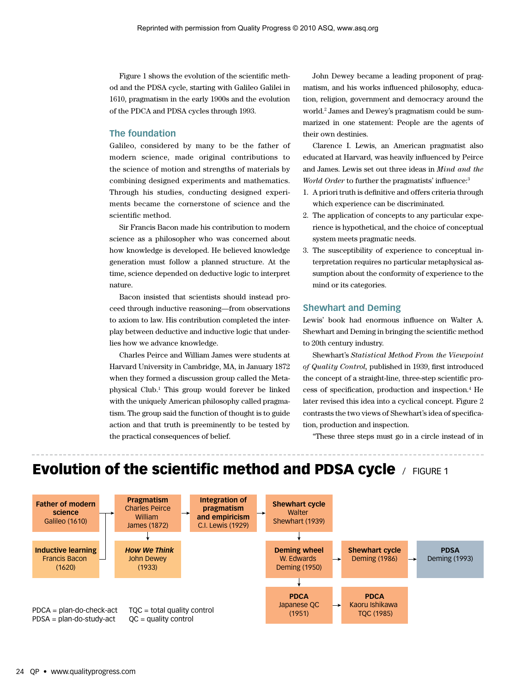Figure 1 shows the evolution of the scientific method and the PDSA cycle, starting with Galileo Galilei in 1610, pragmatism in the early 1900s and the evolution of the PDCA and PDSA cycles through 1993.

#### **The foundation**

Galileo, considered by many to be the father of modern science, made original contributions to the science of motion and strengths of materials by combining designed experiments and mathematics. Through his studies, conducting designed experiments became the cornerstone of science and the scientific method.

Sir Francis Bacon made his contribution to modern science as a philosopher who was concerned about how knowledge is developed. He believed knowledge generation must follow a planned structure. At the time, science depended on deductive logic to interpret nature.

Bacon insisted that scientists should instead proceed through inductive reasoning—from observations to axiom to law. His contribution completed the interplay between deductive and inductive logic that underlies how we advance knowledge.

Charles Peirce and William James were students at Harvard University in Cambridge, MA, in January 1872 when they formed a discussion group called the Metaphysical Club.1 This group would forever be linked with the uniquely American philosophy called pragmatism. The group said the function of thought is to guide action and that truth is preeminently to be tested by the practical consequences of belief.

John Dewey became a leading proponent of pragmatism, and his works influenced philosophy, education, religion, government and democracy around the world.2 James and Dewey's pragmatism could be summarized in one statement: People are the agents of their own destinies.

Clarence I. Lewis, an American pragmatist also educated at Harvard, was heavily influenced by Peirce and James. Lewis set out three ideas in *Mind and the World Order* to further the pragmatists' influence:<sup>3</sup>

- 1. A priori truth is definitive and offers criteria through which experience can be discriminated.
- 2. The application of concepts to any particular experience is hypothetical, and the choice of conceptual system meets pragmatic needs.
- 3. The susceptibility of experience to conceptual interpretation requires no particular metaphysical assumption about the conformity of experience to the mind or its categories.

#### **Shewhart and Deming**

Lewis' book had enormous influence on Walter A. Shewhart and Deming in bringing the scientific method to 20th century industry.

Shewhart's *Statistical Method From the Viewpoint of Quality Control,* published in 1939, first introduced the concept of a straight-line, three-step scientific process of specification, production and inspection.4 He later revised this idea into a cyclical concept. Figure 2 contrasts the two views of Shewhart's idea of specification, production and inspection.

"These three steps must go in a circle instead of in

# Evolution of the scientific method and PDSA cycle / FIGURE 1

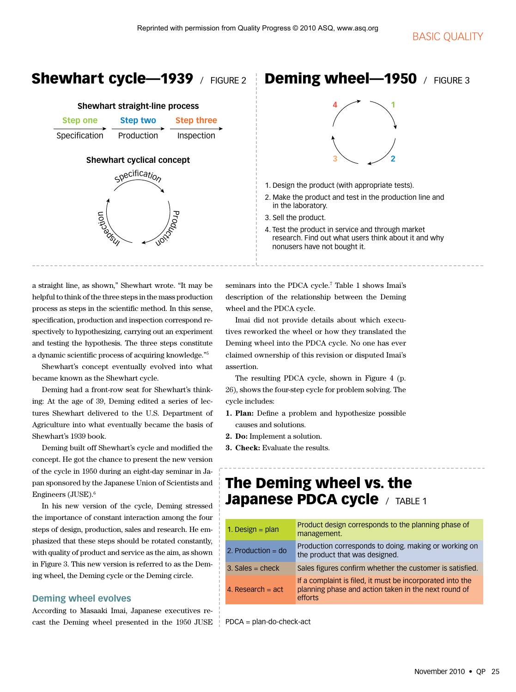# Shewhart cycle—1939 / FIGURE 2

| <b>Shewhart straight-line process</b> |                 |                   |  |
|---------------------------------------|-----------------|-------------------|--|
| <b>Step one</b>                       | <b>Step two</b> | <b>Step three</b> |  |
| Specification                         | Production      | Inspection        |  |
| <b>Shewhart cyclical concept</b>      |                 |                   |  |
| specification                         |                 |                   |  |
| <b>TONSITION</b><br>DOCtion           |                 |                   |  |

a straight line, as shown," Shewhart wrote. "It may be helpful to think of the three steps in the mass production process as steps in the scientific method. In this sense, specification, production and inspection correspond respectively to hypothesizing, carrying out an experiment and testing the hypothesis. The three steps constitute a dynamic scientific process of acquiring knowledge."5

Shewhart's concept eventually evolved into what became known as the Shewhart cycle.

Deming had a front-row seat for Shewhart's thinking: At the age of 39, Deming edited a series of lectures Shewhart delivered to the U.S. Department of Agriculture into what eventually became the basis of Shewhart's 1939 book.

Deming built off Shewhart's cycle and modified the concept. He got the chance to present the new version of the cycle in 1950 during an eight-day seminar in Japan sponsored by the Japanese Union of Scientists and Engineers (JUSE).6

In his new version of the cycle, Deming stressed the importance of constant interaction among the four steps of design, production, sales and research. He emphasized that these steps should be rotated constantly, with quality of product and service as the aim, as shown in Figure 3. This new version is referred to as the Deming wheel, the Deming cycle or the Deming circle.

### **Deming wheel evolves**

According to Masaaki Imai, Japanese executives recast the Deming wheel presented in the 1950 JUSE

# Deming wheel-1950 / FIGURE 3



- 1. Design the product (with appropriate tests).
- 2. Make the product and test in the production line and in the laboratory.
- 3. Sell the product.
- 4. Test the product in service and through market research. Find out what users think about it and why nonusers have not bought it.

seminars into the PDCA cycle.<sup>7</sup> Table 1 shows Imai's description of the relationship between the Deming wheel and the PDCA cycle.

Imai did not provide details about which executives reworked the wheel or how they translated the Deming wheel into the PDCA cycle. No one has ever claimed ownership of this revision or disputed Imai's assertion.

The resulting PDCA cycle, shown in Figure 4 (p. 26), shows the four-step cycle for problem solving. The cycle includes:

- **1. Plan:** Define a problem and hypothesize possible causes and solutions.
- **2. Do:** Implement a solution.
- **3. Check:** Evaluate the results.

# The Deming wheel vs. the Japanese PDCA cycle / TABLE 1

| 1. Design = $plan$   | Product design corresponds to the planning phase of<br>management.                                                                  |
|----------------------|-------------------------------------------------------------------------------------------------------------------------------------|
| 2. Production = $do$ | Production corresponds to doing. making or working on<br>the product that was designed.                                             |
| $3.$ Sales = check   | Sales figures confirm whether the customer is satisfied.                                                                            |
| 4. Research $=$ act  | If a complaint is filed, it must be incorporated into the<br>planning phase and action taken in the next round of<br><b>Afforts</b> |

PDCA = plan-do-check-act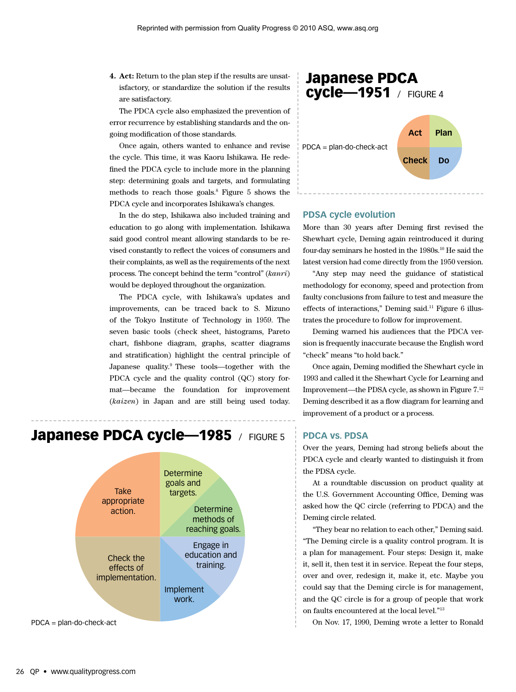**4. Act:** Return to the plan step if the results are unsatisfactory, or standardize the solution if the results are satisfactory.

The PDCA cycle also emphasized the prevention of error recurrence by establishing standards and the ongoing modification of those standards.

Once again, others wanted to enhance and revise the cycle. This time, it was Kaoru Ishikawa. He redefined the PDCA cycle to include more in the planning step: determining goals and targets, and formulating methods to reach those goals.8 Figure 5 shows the PDCA cycle and incorporates Ishikawa's changes.

In the do step, Ishikawa also included training and education to go along with implementation. Ishikawa said good control meant allowing standards to be revised constantly to reflect the voices of consumers and their complaints, as well as the requirements of the next process. The concept behind the term "control" (*kanri*) would be deployed throughout the organization.

The PDCA cycle, with Ishikawa's updates and improvements, can be traced back to S. Mizuno of the Tokyo Institute of Technology in 1959. The seven basic tools (check sheet, histograms, Pareto chart, fishbone diagram, graphs, scatter diagrams and stratification) highlight the central principle of Japanese quality.9 These tools—together with the PDCA cycle and the quality control (QC) story format—became the foundation for improvement (*kaizen*) in Japan and are still being used today.







#### **PDSA cycle evolution**

More than 30 years after Deming first revised the Shewhart cycle, Deming again reintroduced it during four-day seminars he hosted in the 1980s.10 He said the latest version had come directly from the 1950 version.

"Any step may need the guidance of statistical methodology for economy, speed and protection from faulty conclusions from failure to test and measure the effects of interactions," Deming said.<sup>11</sup> Figure 6 illustrates the procedure to follow for improvement.

Deming warned his audiences that the PDCA version is frequently inaccurate because the English word "check" means "to hold back."

Once again, Deming modified the Shewhart cycle in 1993 and called it the Shewhart Cycle for Learning and Improvement—the PDSA cycle, as shown in Figure 7.12 Deming described it as a flow diagram for learning and improvement of a product or a process.

# **PDCA vs. PDSA**

Over the years, Deming had strong beliefs about the PDCA cycle and clearly wanted to distinguish it from the PDSA cycle.

At a roundtable discussion on product quality at the U.S. Government Accounting Office, Deming was asked how the QC circle (referring to PDCA) and the Deming circle related.

"They bear no relation to each other," Deming said. "The Deming circle is a quality control program. It is a plan for management. Four steps: Design it, make it, sell it, then test it in service. Repeat the four steps, over and over, redesign it, make it, etc. Maybe you could say that the Deming circle is for management, and the QC circle is for a group of people that work on faults encountered at the local level."13

On Nov. 17, 1990, Deming wrote a letter to Ronald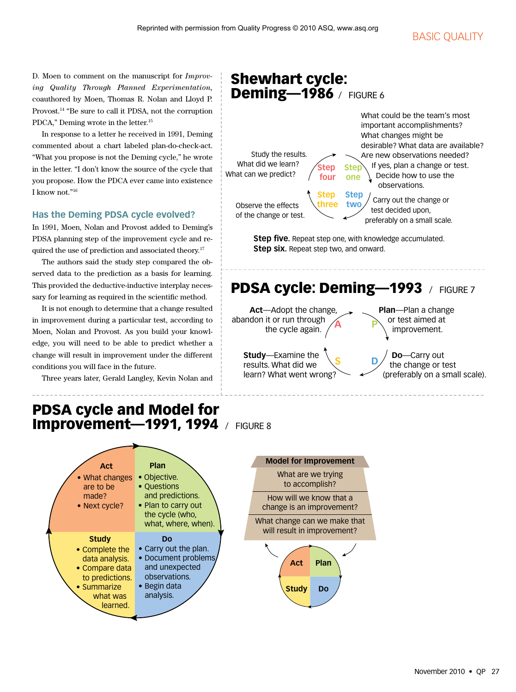# **BASIC QUALITY**

D. Moen to comment on the manuscript for *Improving Quality Through Planned Experimentation,* coauthored by Moen, Thomas R. Nolan and Lloyd P. Provost.14 "Be sure to call it PDSA, not the corruption PDCA," Deming wrote in the letter.15

In response to a letter he received in 1991, Deming commented about a chart labeled plan-do-check-act. "What you propose is not the Deming cycle," he wrote in the letter. "I don't know the source of the cycle that you propose. How the PDCA ever came into existence I know not."16

## **Has the Deming PDSA cycle evolved?**

In 1991, Moen, Nolan and Provost added to Deming's PDSA planning step of the improvement cycle and required the use of prediction and associated theory.<sup>17</sup>

The authors said the study step compared the observed data to the prediction as a basis for learning. This provided the deductive-inductive interplay necessary for learning as required in the scientific method.

It is not enough to determine that a change resulted in improvement during a particular test, according to Moen, Nolan and Provost. As you build your knowledge, you will need to be able to predict whether a change will result in improvement under the different conditions you will face in the future.

Three years later, Gerald Langley, Kevin Nolan and

#### Shewhart cycle: **Deming-1986** / FIGURE 6 **Step one** What could be the team's most important accomplishments? What changes might be desirable? What data are available? Are new observations needed? If yes, plan a change or test. Decide how to use the observations. Carry out the change or test decided upon, preferably on a small scale. Observe the effects of the change or test. Study the results. What did we learn? What can we predict? **Step two Step three Step four**

**Step five.** Repeat step one, with knowledge accumulated. **Step six.** Repeat step two, and onward.

# PDSA cycle: Deming-1993 / FIGURE 7

**S D**

 **Act**—Adopt the change, abandon it or run through the cycle again. **A**

> **Study**—Examine the results. What did we learn? What went wrong?

**P Plan**—Plan a change or test aimed at improvement.

 **Do**—Carry out the change or test (preferably on a small scale).

# PDSA cycle and Model for **Improvement-1991, 1994** / FIGURE 8